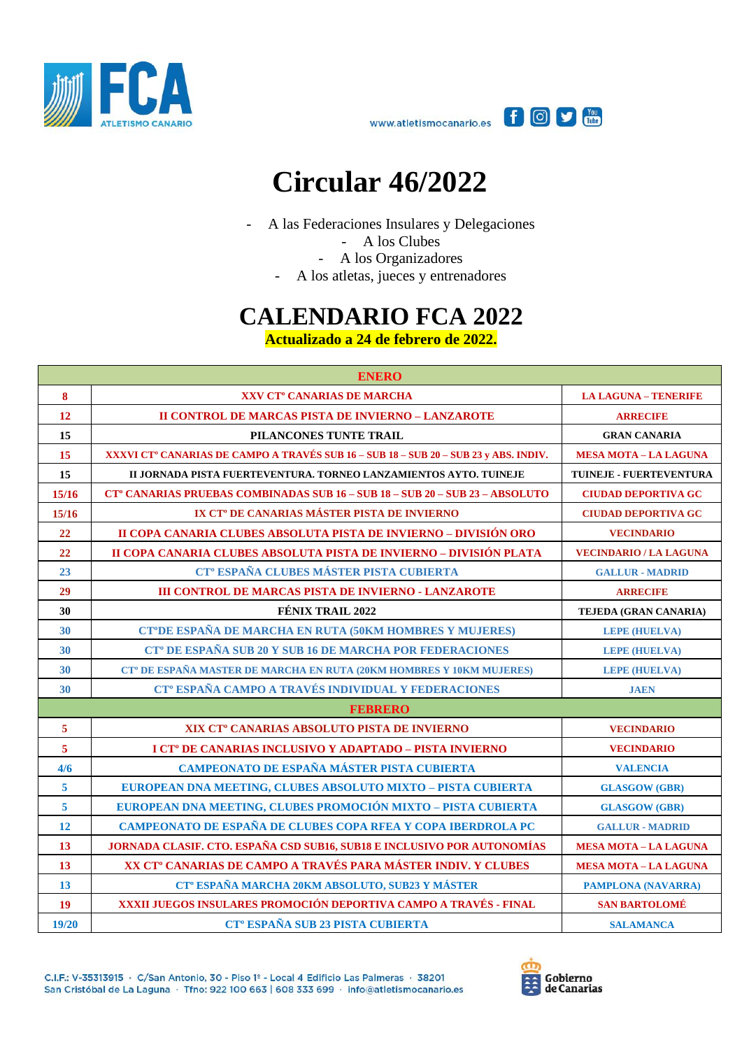



## **Circular 46/2022**

- A las Federaciones Insulares y Delegaciones

- A los Clubes
- A los Organizadores
- A los atletas, jueces y entrenadores

## **CALENDARIO FCA 2022**

**Actualizado a 24 de febrero de 2022.**

| <b>ENERO</b>            |                                                                                                  |                               |
|-------------------------|--------------------------------------------------------------------------------------------------|-------------------------------|
| 8                       | XXV CT <sup>°</sup> CANARIAS DE MARCHA                                                           | <b>LA LAGUNA - TENERIFE</b>   |
| 12                      | <b>II CONTROL DE MARCAS PISTA DE INVIERNO - LANZAROTE</b>                                        | <b>ARRECIFE</b>               |
| 15                      | PILANCONES TUNTE TRAIL                                                                           | <b>GRAN CANARIA</b>           |
| 15                      | XXXVI CT <sup>°</sup> CANARIAS DE CAMPO A TRAVÉS SUB 16 – SUB 18 – SUB 20 – SUB 23 y ABS. INDIV. | <b>MESA MOTA - LA LAGUNA</b>  |
| 15                      | II JORNADA PISTA FUERTEVENTURA. TORNEO LANZAMIENTOS AYTO. TUINEJE                                | TUINEJE - FUERTEVENTURA       |
| 15/16                   | <b>CT° CANARIAS PRUEBAS COMBINADAS SUB 16 - SUB 18 - SUB 20 - SUB 23 - ABSOLUTO</b>              | <b>CIUDAD DEPORTIVA GC</b>    |
| 15/16                   | IX CT <sup>°</sup> DE CANARIAS MÁSTER PISTA DE INVIERNO                                          | <b>CIUDAD DEPORTIVA GC</b>    |
| 22                      | II COPA CANARIA CLUBES ABSOLUTA PISTA DE INVIERNO - DIVISIÓN ORO                                 | <b>VECINDARIO</b>             |
| 22                      | II COPA CANARIA CLUBES ABSOLUTA PISTA DE INVIERNO - DIVISIÓN PLATA                               | <b>VECINDARIO / LA LAGUNA</b> |
| 23                      | CT <sup>°</sup> ESPAÑA CLUBES MÁSTER PISTA CUBIERTA                                              | <b>GALLUR - MADRID</b>        |
| 29                      | <b>III CONTROL DE MARCAS PISTA DE INVIERNO - LANZAROTE</b>                                       | <b>ARRECIFE</b>               |
| 30                      | <b>FÉNIX TRAIL 2022</b>                                                                          | TEJEDA (GRAN CANARIA)         |
| 30                      | CT°DE ESPAÑA DE MARCHA EN RUTA (50KM HOMBRES Y MUJERES)                                          | <b>LEPE (HUELVA)</b>          |
| 30                      | CT <sup>°</sup> DE ESPAÑA SUB 20 Y SUB 16 DE MARCHA POR FEDERACIONES                             | <b>LEPE (HUELVA)</b>          |
| 30                      | CT <sup>°</sup> DE ESPAÑA MASTER DE MARCHA EN RUTA (20KM HOMBRES Y 10KM MUJERES)                 | <b>LEPE (HUELVA)</b>          |
| 30                      | CT <sup>°</sup> ESPAÑA CAMPO A TRAVÉS INDIVIDUAL Y FEDERACIONES                                  | <b>JAEN</b>                   |
|                         | <b>FEBRERO</b>                                                                                   |                               |
| $\overline{5}$          | XIX CT <sup>°</sup> CANARIAS ABSOLUTO PISTA DE INVIERNO                                          | <b>VECINDARIO</b>             |
| $\overline{\mathbf{5}}$ | I CT <sup>°</sup> DE CANARIAS INCLUSIVO Y ADAPTADO - PISTA INVIERNO                              | <b>VECINDARIO</b>             |
| 4/6                     | CAMPEONATO DE ESPAÑA MÁSTER PISTA CUBIERTA                                                       | <b>VALENCIA</b>               |
| $\overline{\mathbf{5}}$ | EUROPEAN DNA MEETING, CLUBES ABSOLUTO MIXTO - PISTA CUBIERTA                                     | <b>GLASGOW (GBR)</b>          |
| $\overline{\mathbf{5}}$ | EUROPEAN DNA MEETING, CLUBES PROMOCIÓN MIXTO - PISTA CUBIERTA                                    | <b>GLASGOW (GBR)</b>          |
| 12                      | CAMPEONATO DE ESPAÑA DE CLUBES COPA RFEA Y COPA IBERDROLA PC                                     | <b>GALLUR - MADRID</b>        |
| 13                      | JORNADA CLASIF. CTO. ESPAÑA CSD SUB16, SUB18 E INCLUSIVO POR AUTONOMÍAS                          | <b>MESA MOTA - LA LAGUNA</b>  |
| 13                      | XX CT <sup>°</sup> CANARIAS DE CAMPO A TRAVÉS PARA MÁSTER INDIV. Y CLUBES                        | <b>MESA MOTA - LA LAGUNA</b>  |
| 13                      | CT <sup>°</sup> ESPAÑA MARCHA 20KM ABSOLUTO, SUB23 Y MÁSTER                                      | <b>PAMPLONA (NAVARRA)</b>     |
| <b>19</b>               | XXXII JUEGOS INSULARES PROMOCIÓN DEPORTIVA CAMPO A TRAVÉS - FINAL                                | <b>SAN BARTOLOMÉ</b>          |
| 19/20                   | <b>CT<sup>°</sup> ESPAÑA SUB 23 PISTA CUBIERTA</b>                                               | <b>SALAMANCA</b>              |

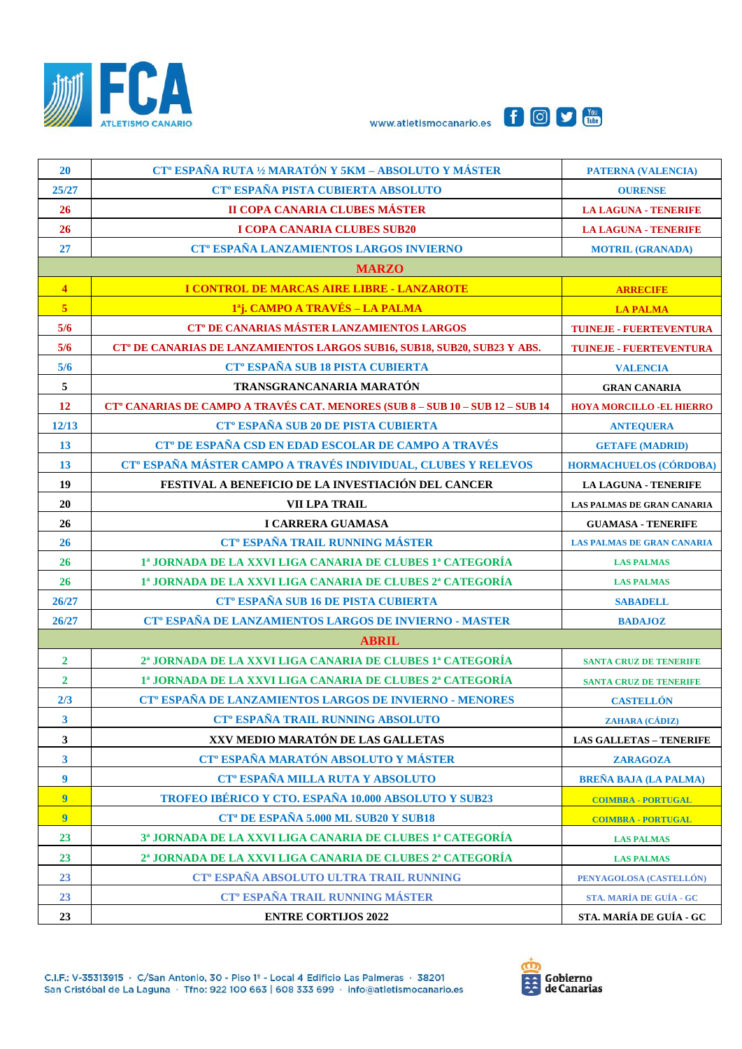





| <b>20</b>               | CT <sup>°</sup> ESPAÑA RUTA 1/2 MARATÓN Y 5KM - ABSOLUTO Y MÁSTER                         | <b>PATERNA (VALENCIA)</b>         |
|-------------------------|-------------------------------------------------------------------------------------------|-----------------------------------|
| 25/27                   | CT <sup>°</sup> ESPAÑA PISTA CUBIERTA ABSOLUTO                                            | <b>OURENSE</b>                    |
| 26                      | II COPA CANARIA CLUBES MÁSTER                                                             | <b>LA LAGUNA - TENERIFE</b>       |
| 26                      | I COPA CANARIA CLUBES SUB20                                                               | <b>LA LAGUNA - TENERIFE</b>       |
| 27                      | CT <sup>°</sup> ESPAÑA LANZAMIENTOS LARGOS INVIERNO                                       | <b>MOTRIL (GRANADA)</b>           |
|                         | <b>MARZO</b>                                                                              |                                   |
| $\overline{\mathbf{4}}$ | I CONTROL DE MARCAS AIRE LIBRE - LANZAROTE                                                | <b>ARRECIFE</b>                   |
| $\overline{5}$          | 1 <sup>a</sup> j. CAMPO A TRAVÉS – LA PALMA                                               | <b>LA PALMA</b>                   |
| 5/6                     | CT <sup>°</sup> DE CANARIAS MÁSTER LANZAMIENTOS LARGOS                                    | <b>TUINEJE - FUERTEVENTURA</b>    |
| 5/6                     | CT <sup>°</sup> DE CANARIAS DE LANZAMIENTOS LARGOS SUB16, SUB18, SUB20, SUB23 Y ABS.      | <b>TUINEJE - FUERTEVENTURA</b>    |
| 5/6                     | CT <sup>°</sup> ESPAÑA SUB 18 PISTA CUBIERTA                                              | <b>VALENCIA</b>                   |
| $\sqrt{5}$              | TRANSGRANCANARIA MARATÓN                                                                  | <b>GRAN CANARIA</b>               |
| <b>12</b>               | CT <sup>°</sup> CANARIAS DE CAMPO A TRAVÉS CAT. MENORES (SUB 8 - SUB 10 - SUB 12 - SUB 14 | <b>HOYA MORCILLO -EL HIERRO</b>   |
| 12/13                   | CT <sup>°</sup> ESPAÑA SUB 20 DE PISTA CUBIERTA                                           | <b>ANTEQUERA</b>                  |
| 13                      | CT <sup>°</sup> DE ESPAÑA CSD EN EDAD ESCOLAR DE CAMPO A TRAVÉS                           | <b>GETAFE (MADRID)</b>            |
| 13                      | CT <sup>°</sup> ESPAÑA MÁSTER CAMPO A TRAVÉS INDIVIDUAL, CLUBES Y RELEVOS                 | HORMACHUELOS (CÓRDOBA)            |
| 19                      | FESTIVAL A BENEFICIO DE LA INVESTIACIÓN DEL CANCER                                        | <b>LA LAGUNA - TENERIFE</b>       |
| 20                      | VII LPA TRAIL                                                                             | LAS PALMAS DE GRAN CANARIA        |
| 26                      | I CARRERA GUAMASA                                                                         | <b>GUAMASA - TENERIFE</b>         |
| 26                      | <b>CT<sup>°</sup> ESPAÑA TRAIL RUNNING MÁSTER</b>                                         | <b>LAS PALMAS DE GRAN CANARIA</b> |
| 26                      | 1ª JORNADA DE LA XXVI LIGA CANARIA DE CLUBES 1ª CATEGORÍA                                 | <b>LAS PALMAS</b>                 |
| 26                      | 1ª JORNADA DE LA XXVI LIGA CANARIA DE CLUBES 2ª CATEGORÍA                                 | <b>LAS PALMAS</b>                 |
| 26/27                   | CT <sup>°</sup> ESPAÑA SUB 16 DE PISTA CUBIERTA                                           | <b>SABADELL</b>                   |
| 26/27                   | CT <sup>°</sup> ESPAÑA DE LANZAMIENTOS LARGOS DE INVIERNO - MASTER                        | <b>BADAJOZ</b>                    |
|                         | <b>ABRIL</b>                                                                              |                                   |
| $\overline{2}$          | 2ª JORNADA DE LA XXVI LIGA CANARIA DE CLUBES 1ª CATEGORÍA                                 | <b>SANTA CRUZ DE TENERIFE</b>     |
| $\overline{2}$          | 1ª JORNADA DE LA XXVI LIGA CANARIA DE CLUBES 2ª CATEGORÍA                                 | <b>SANTA CRUZ DE TENERIFE</b>     |
| 2/3                     | CT <sup>°</sup> ESPAÑA DE LANZAMIENTOS LARGOS DE INVIERNO - MENORES                       | <b>CASTELLÓN</b>                  |
| $\mathbf{3}$            | CT <sup>°</sup> ESPAÑA TRAIL RUNNING ABSOLUTO                                             | ZAHARA (CÁDIZ)                    |
| 3                       | XXV MEDIO MARATÓN DE LAS GALLETAS                                                         | <b>LAS GALLETAS - TENERIFE</b>    |
| $\mathbf{3}$            | CT <sup>°</sup> ESPAÑA MARATÓN ABSOLUTO Y MÁSTER                                          | <b>ZARAGOZA</b>                   |
| $\boldsymbol{9}$        | CT <sup>°</sup> ESPAÑA MILLA RUTA Y ABSOLUTO                                              | <b>BREÑA BAJA (LA PALMA)</b>      |
| 9                       | TROFEO IBÉRICO Y CTO. ESPAÑA 10.000 ABSOLUTO Y SUB23                                      | <b>COIMBRA - PORTUGAL</b>         |
| $\overline{9}$          | CT <sup>a</sup> DE ESPAÑA 5.000 ML SUB20 Y SUB18                                          | <b>COIMBRA - PORTUGAL</b>         |
| 23                      | 3ª JORNADA DE LA XXVI LIGA CANARIA DE CLUBES 1ª CATEGORÍA                                 | <b>LAS PALMAS</b>                 |
| 23                      | 2 <sup>a</sup> JORNADA DE LA XXVI LIGA CANARIA DE CLUBES 2 <sup>a</sup> CATEGORÍA         | <b>LAS PALMAS</b>                 |
| 23                      | CT <sup>°</sup> ESPAÑA ABSOLUTO ULTRA TRAIL RUNNING                                       | PENYAGOLOSA (CASTELLÓN)           |
| 23                      | <b>CT<sup>°</sup> ESPAÑA TRAIL RUNNING MÁSTER</b>                                         | STA. MARÍA DE GUÍA - GC           |
| 23                      | <b>ENTRE CORTIJOS 2022</b>                                                                | STA. MARÍA DE GUÍA - GC           |

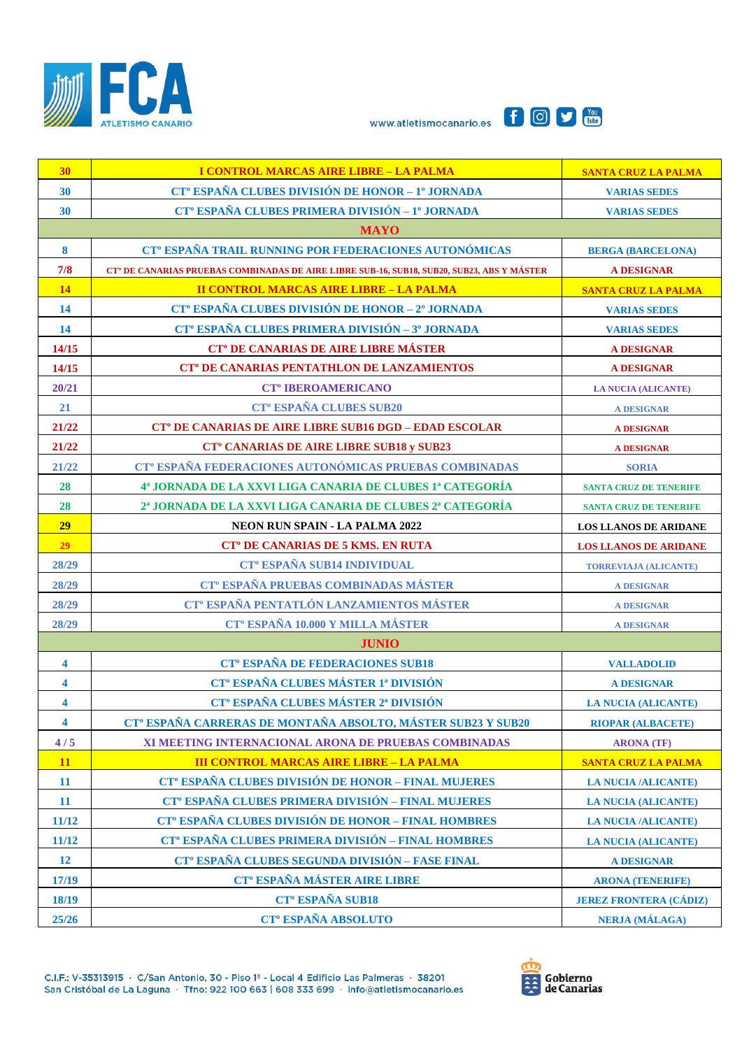





| 30                      | I CONTROL MARCAS AIRE LIBRE - LA PALMA                                                                 | <b>SANTA CRUZ LA PALMA</b>    |  |
|-------------------------|--------------------------------------------------------------------------------------------------------|-------------------------------|--|
| 30                      | CT <sup>°</sup> ESPAÑA CLUBES DIVISIÓN DE HONOR - 1º JORNADA                                           | <b>VARIAS SEDES</b>           |  |
| 30                      | CT <sup>°</sup> ESPAÑA CLUBES PRIMERA DIVISIÓN - 1º JORNADA                                            | <b>VARIAS SEDES</b>           |  |
| <b>MAYO</b>             |                                                                                                        |                               |  |
| $\boldsymbol{8}$        | CT <sup>°</sup> ESPAÑA TRAIL RUNNING POR FEDERACIONES AUTONÓMICAS                                      | <b>BERGA (BARCELONA)</b>      |  |
| 7/8                     | CT <sup>®</sup> DE CANARIAS PRUEBAS COMBINADAS DE AIRE LIBRE SUB-16, SUB18, SUB20, SUB23, ABS Y MÁSTER | <b>A DESIGNAR</b>             |  |
| 14                      | <b>II CONTROL MARCAS AIRE LIBRE - LA PALMA</b>                                                         | <b>SANTA CRUZ LA PALMA</b>    |  |
| 14                      | CT <sup>°</sup> ESPAÑA CLUBES DIVISIÓN DE HONOR - 2° JORNADA                                           | <b>VARIAS SEDES</b>           |  |
| 14                      | CT <sup>°</sup> ESPAÑA CLUBES PRIMERA DIVISIÓN - 3 <sup>°</sup> JORNADA                                | <b>VARIAS SEDES</b>           |  |
| 14/15                   | CT <sup>°</sup> DE CANARIAS DE AIRE LIBRE MÁSTER                                                       | <b>A DESIGNAR</b>             |  |
| 14/15                   | <b>CT<sup>°</sup> DE CANARIAS PENTATHLON DE LANZAMIENTOS</b>                                           | <b>A DESIGNAR</b>             |  |
| 20/21                   | <b>CT<sup>°</sup> IBEROAMERICANO</b>                                                                   | <b>LA NUCIA (ALICANTE)</b>    |  |
| 21                      | <b>CT<sup>°</sup> ESPAÑA CLUBES SUB20</b>                                                              | <b>A DESIGNAR</b>             |  |
| 21/22                   | <b>CT<sup>°</sup> DE CANARIAS DE AIRE LIBRE SUB16 DGD - EDAD ESCOLAR</b>                               | <b>A DESIGNAR</b>             |  |
| 21/22                   | <b>CT<sup>°</sup> CANARIAS DE AIRE LIBRE SUB18 y SUB23</b>                                             | <b>A DESIGNAR</b>             |  |
| 21/22                   | CT <sup>®</sup> ESPAÑA FEDERACIONES AUTONÓMICAS PRUEBAS COMBINADAS                                     | <b>SORIA</b>                  |  |
| 28                      | 4ª JORNADA DE LA XXVI LIGA CANARIA DE CLUBES 1ª CATEGORÍA                                              | <b>SANTA CRUZ DE TENERIFE</b> |  |
| 28                      | 2 <sup>a</sup> JORNADA DE LA XXVI LIGA CANARIA DE CLUBES 2 <sup>a</sup> CATEGORÍA                      | <b>SANTA CRUZ DE TENERIFE</b> |  |
| 29                      | <b>NEON RUN SPAIN - LA PALMA 2022</b>                                                                  | <b>LOS LLANOS DE ARIDANE</b>  |  |
| 29                      | <b>CT<sup>°</sup> DE CANARIAS DE 5 KMS. EN RUTA</b>                                                    | <b>LOS LLANOS DE ARIDANE</b>  |  |
| 28/29                   | CT <sup>°</sup> ESPAÑA SUB14 INDIVIDUAL                                                                | <b>TORREVIAJA (ALICANTE)</b>  |  |
| 28/29                   | CT <sup>°</sup> ESPAÑA PRUEBAS COMBINADAS MÁSTER                                                       | <b>A DESIGNAR</b>             |  |
| 28/29                   | CT <sup>°</sup> ESPAÑA PENTATLÓN LANZAMIENTOS MÁSTER                                                   | <b>A DESIGNAR</b>             |  |
| 28/29                   | <b>CT<sup>°</sup> ESPAÑA 10.000 Y MILLA MÁSTER</b>                                                     | <b>A DESIGNAR</b>             |  |
|                         | <b>JUNIO</b>                                                                                           |                               |  |
| 4                       | <b>CT<sup>°</sup> ESPAÑA DE FEDERACIONES SUB18</b>                                                     | <b>VALLADOLID</b>             |  |
| $\overline{\mathbf{4}}$ | <b>CT<sup>°</sup> ESPAÑA CLUBES MÁSTER 1ª DIVISIÓN</b>                                                 | <b>A DESIGNAR</b>             |  |
| $\overline{\mathbf{4}}$ | CT <sup>°</sup> ESPAÑA CLUBES MÁSTER 2ª DIVISIÓN                                                       | <b>LA NUCIA (ALICANTE)</b>    |  |
| 4                       | CT <sup>°</sup> ESPAÑA CARRERAS DE MONTAÑA ABSOLTO, MÁSTER SUB23 Y SUB20                               | <b>RIOPAR (ALBACETE)</b>      |  |
| 4/5                     | XI MEETING INTERNACIONAL ARONA DE PRUEBAS COMBINADAS                                                   | <b>ARONA</b> (TF)             |  |
| <b>11</b>               | <b>III CONTROL MARCAS AIRE LIBRE - LA PALMA</b>                                                        | <b>SANTA CRUZ LA PALMA</b>    |  |
| <b>11</b>               | CT <sup>°</sup> ESPAÑA CLUBES DIVISIÓN DE HONOR - FINAL MUJERES                                        | <b>LA NUCIA /ALICANTE)</b>    |  |
| <b>11</b>               | CT <sup>°</sup> ESPAÑA CLUBES PRIMERA DIVISIÓN - FINAL MUJERES                                         | <b>LA NUCIA (ALICANTE)</b>    |  |
| 11/12                   | CT <sup>°</sup> ESPAÑA CLUBES DIVISIÓN DE HONOR - FINAL HOMBRES                                        | <b>LA NUCIA /ALICANTE)</b>    |  |
| 11/12                   | CT <sup>°</sup> ESPAÑA CLUBES PRIMERA DIVISIÓN - FINAL HOMBRES                                         | <b>LA NUCIA (ALICANTE)</b>    |  |
| <b>12</b>               | CT <sup>°</sup> ESPAÑA CLUBES SEGUNDA DIVISIÓN - FASE FINAL                                            | <b>A DESIGNAR</b>             |  |
| 17/19                   | <b>CT<sup>°</sup> ESPAÑA MÁSTER AIRE LIBRE</b>                                                         | <b>ARONA (TENERIFE)</b>       |  |
|                         |                                                                                                        |                               |  |
| 18/19                   | <b>CT<sup>°</sup> ESPAÑA SUB18</b>                                                                     | <b>JEREZ FRONTERA (CÁDIZ)</b> |  |

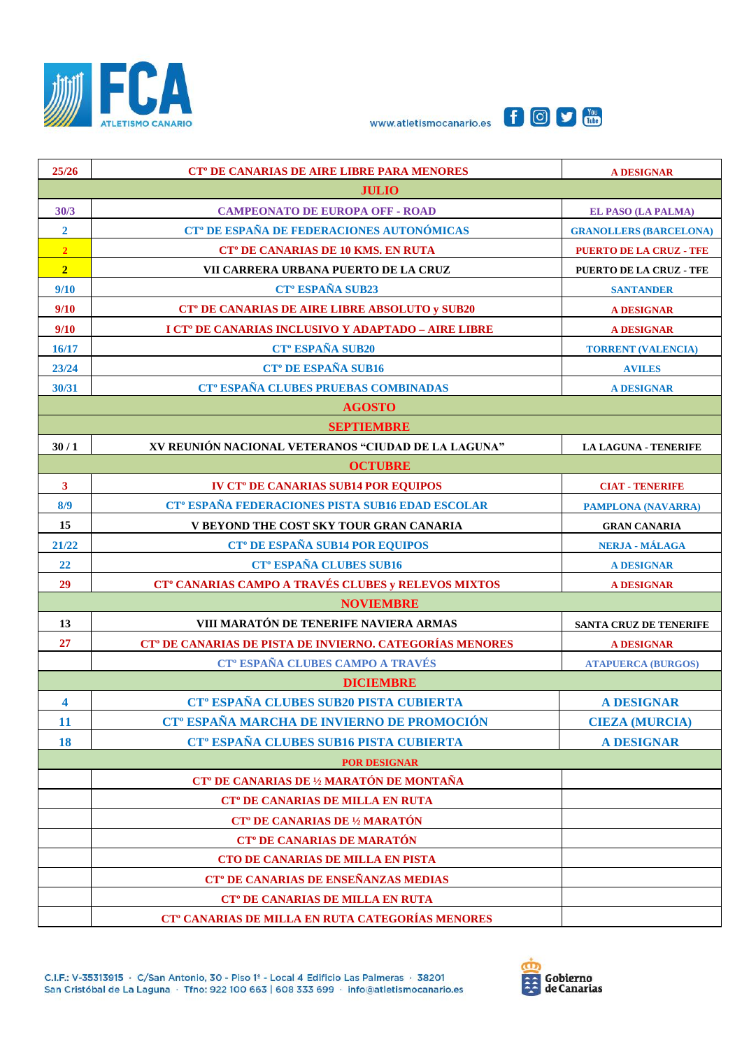





| 25/26                   | <b>CT<sup>°</sup> DE CANARIAS DE AIRE LIBRE PARA MENORES</b>         | <b>A DESIGNAR</b>              |  |
|-------------------------|----------------------------------------------------------------------|--------------------------------|--|
| <b>JULIO</b>            |                                                                      |                                |  |
| 30/3                    | <b>CAMPEONATO DE EUROPA OFF - ROAD</b>                               | <b>EL PASO (LA PALMA)</b>      |  |
| $\overline{2}$          | CT <sup>°</sup> DE ESPAÑA DE FEDERACIONES AUTONÓMICAS                | <b>GRANOLLERS (BARCELONA)</b>  |  |
| $\overline{2}$          | <b>CT<sup>°</sup> DE CANARIAS DE 10 KMS. EN RUTA</b>                 | <b>PUERTO DE LA CRUZ - TFE</b> |  |
| $\overline{2}$          | VII CARRERA URBANA PUERTO DE LA CRUZ                                 | PUERTO DE LA CRUZ - TFE        |  |
| 9/10                    | CT <sup>o</sup> ESPAÑA SUB23                                         | <b>SANTANDER</b>               |  |
| 9/10                    | <b>CT<sup>°</sup> DE CANARIAS DE AIRE LIBRE ABSOLUTO y SUB20</b>     | <b>A DESIGNAR</b>              |  |
| 9/10                    | I CT <sup>°</sup> DE CANARIAS INCLUSIVO Y ADAPTADO - AIRE LIBRE      | <b>A DESIGNAR</b>              |  |
| 16/17                   | <b>CT<sup>°</sup> ESPAÑA SUB20</b>                                   | <b>TORRENT (VALENCIA)</b>      |  |
| 23/24                   | <b>CT<sup>°</sup> DE ESPAÑA SUB16</b>                                | <b>AVILES</b>                  |  |
| 30/31                   | CT <sup>°</sup> ESPAÑA CLUBES PRUEBAS COMBINADAS                     | <b>A DESIGNAR</b>              |  |
|                         | <b>AGOSTO</b>                                                        |                                |  |
|                         | <b>SEPTIEMBRE</b>                                                    |                                |  |
| 30/1                    | XV REUNIÓN NACIONAL VETERANOS "CIUDAD DE LA LAGUNA"                  | <b>LA LAGUNA - TENERIFE</b>    |  |
|                         | <b>OCTUBRE</b>                                                       |                                |  |
| $\mathbf{3}$            | <b>IV CT<sup>°</sup> DE CANARIAS SUB14 POR EQUIPOS</b>               | <b>CIAT - TENERIFE</b>         |  |
| 8/9                     | CT <sup>°</sup> ESPAÑA FEDERACIONES PISTA SUB16 EDAD ESCOLAR         | <b>PAMPLONA (NAVARRA)</b>      |  |
| 15                      | V BEYOND THE COST SKY TOUR GRAN CANARIA                              | <b>GRAN CANARIA</b>            |  |
| 21/22                   | <b>CT<sup>°</sup> DE ESPAÑA SUB14 POR EQUIPOS</b>                    | <b>NERJA - MÁLAGA</b>          |  |
| 22                      | <b>CT<sup>°</sup> ESPAÑA CLUBES SUB16</b>                            | <b>A DESIGNAR</b>              |  |
| 29                      | CT <sup>°</sup> CANARIAS CAMPO A TRAVÉS CLUBES y RELEVOS MIXTOS      | <b>A DESIGNAR</b>              |  |
|                         | <b>NOVIEMBRE</b>                                                     |                                |  |
| 13                      | VIII MARATÓN DE TENERIFE NAVIERA ARMAS                               | SANTA CRUZ DE TENERIFE         |  |
| 27                      | CT <sup>°</sup> DE CANARIAS DE PISTA DE INVIERNO. CATEGORÍAS MENORES | <b>A DESIGNAR</b>              |  |
|                         | CT <sup>°</sup> ESPAÑA CLUBES CAMPO A TRAVÉS                         | <b>ATAPUERCA (BURGOS)</b>      |  |
|                         | <b>DICIEMBRE</b>                                                     |                                |  |
| $\overline{\mathbf{4}}$ | CT <sup>°</sup> ESPAÑA CLUBES SUB20 PISTA CUBIERTA                   | <b>A DESIGNAR</b>              |  |
| <b>11</b>               | CT <sup>°</sup> ESPAÑA MARCHA DE INVIERNO DE PROMOCIÓN               | <b>CIEZA (MURCIA)</b>          |  |
| 18                      | CT <sup>°</sup> ESPAÑA CLUBES SUB16 PISTA CUBIERTA                   | <b>A DESIGNAR</b>              |  |
|                         | <b>POR DESIGNAR</b>                                                  |                                |  |
|                         | CT <sup>°</sup> DE CANARIAS DE 1/2 MARATÓN DE MONTAÑA                |                                |  |
|                         | <b>CT<sup>°</sup> DE CANARIAS DE MILLA EN RUTA</b>                   |                                |  |
|                         | <b>CT<sup>°</sup> DE CANARIAS DE 1/2 MARATÓN</b>                     |                                |  |
|                         | <b>CT<sup>°</sup> DE CANARIAS DE MARATÓN</b>                         |                                |  |
|                         | CTO DE CANARIAS DE MILLA EN PISTA                                    |                                |  |
|                         | <b>CT<sup>°</sup> DE CANARIAS DE ENSEÑANZAS MEDIAS</b>               |                                |  |
|                         | <b>CT<sup>°</sup> DE CANARIAS DE MILLA EN RUTA</b>                   |                                |  |
|                         | CT <sup>°</sup> CANARIAS DE MILLA EN RUTA CATEGORÍAS MENORES         |                                |  |